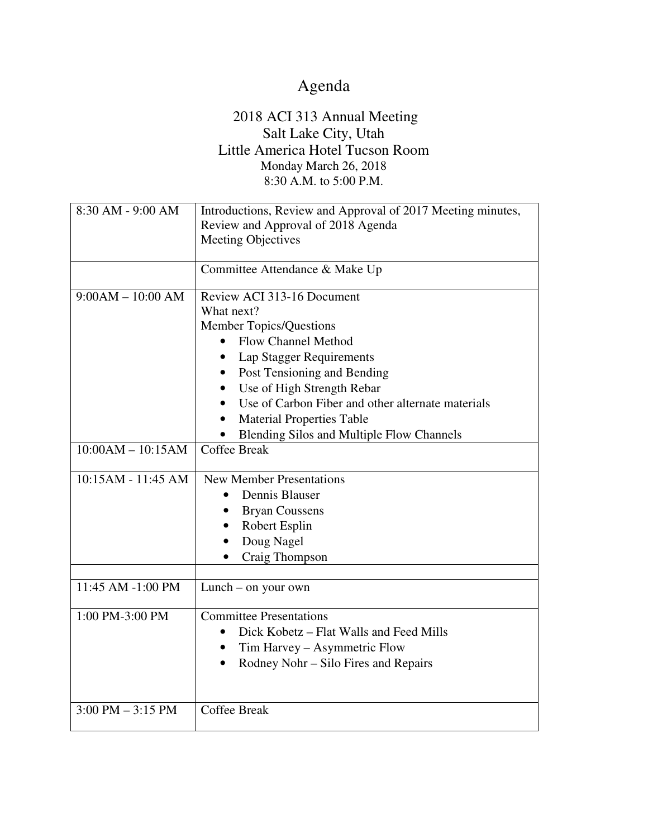## Agenda

## 2018 ACI 313 Annual Meeting Salt Lake City, Utah Little America Hotel Tucson Room Monday March 26, 2018 8:30 A.M. to 5:00 P.M.

| 8:30 AM - 9:00 AM                                                | Introductions, Review and Approval of 2017 Meeting minutes,<br>Review and Approval of 2018 Agenda<br><b>Meeting Objectives</b>                                                                                                                                                                                                                                                                                                                                                                        |
|------------------------------------------------------------------|-------------------------------------------------------------------------------------------------------------------------------------------------------------------------------------------------------------------------------------------------------------------------------------------------------------------------------------------------------------------------------------------------------------------------------------------------------------------------------------------------------|
|                                                                  | Committee Attendance & Make Up                                                                                                                                                                                                                                                                                                                                                                                                                                                                        |
| $9:00AM - 10:00 AM$<br>$10:00AM - 10:15AM$<br>10:15AM - 11:45 AM | Review ACI 313-16 Document<br>What next?<br><b>Member Topics/Questions</b><br>Flow Channel Method<br>$\bullet$<br><b>Lap Stagger Requirements</b><br>Post Tensioning and Bending<br>Use of High Strength Rebar<br>$\bullet$<br>Use of Carbon Fiber and other alternate materials<br><b>Material Properties Table</b><br>Blending Silos and Multiple Flow Channels<br><b>Coffee Break</b><br><b>New Member Presentations</b><br>Dennis Blauser<br><b>Bryan Coussens</b><br>Robert Esplin<br>Doug Nagel |
|                                                                  | Craig Thompson                                                                                                                                                                                                                                                                                                                                                                                                                                                                                        |
| 11:45 AM -1:00 PM                                                | Lunch – on your own                                                                                                                                                                                                                                                                                                                                                                                                                                                                                   |
| 1:00 PM-3:00 PM                                                  | <b>Committee Presentations</b><br>Dick Kobetz – Flat Walls and Feed Mills<br>Tim Harvey - Asymmetric Flow<br>$\bullet$<br>Rodney Nohr - Silo Fires and Repairs                                                                                                                                                                                                                                                                                                                                        |
| $3:00 \text{ PM} - 3:15 \text{ PM}$                              | <b>Coffee Break</b>                                                                                                                                                                                                                                                                                                                                                                                                                                                                                   |